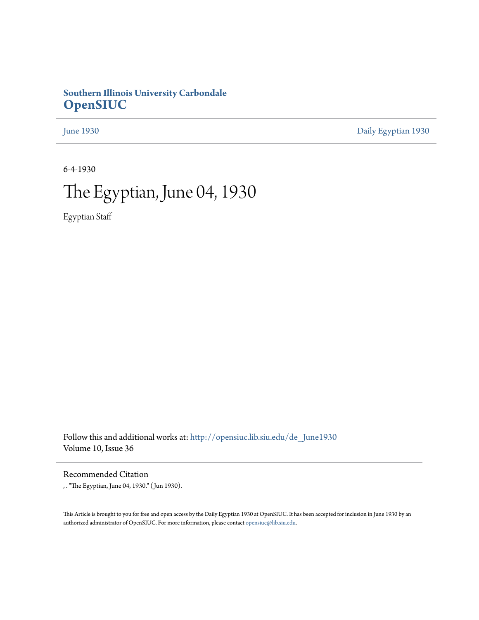# **Southern Illinois University Carbondale [OpenSIUC](http://opensiuc.lib.siu.edu?utm_source=opensiuc.lib.siu.edu%2Fde_June1930%2F1&utm_medium=PDF&utm_campaign=PDFCoverPages)**

[June 1930](http://opensiuc.lib.siu.edu/de_June1930?utm_source=opensiuc.lib.siu.edu%2Fde_June1930%2F1&utm_medium=PDF&utm_campaign=PDFCoverPages) [Daily Egyptian 1930](http://opensiuc.lib.siu.edu/de_1930?utm_source=opensiuc.lib.siu.edu%2Fde_June1930%2F1&utm_medium=PDF&utm_campaign=PDFCoverPages)

6-4-1930

# The Egyptian, June 04, 1930

Egyptian Staff

Follow this and additional works at: [http://opensiuc.lib.siu.edu/de\\_June1930](http://opensiuc.lib.siu.edu/de_June1930?utm_source=opensiuc.lib.siu.edu%2Fde_June1930%2F1&utm_medium=PDF&utm_campaign=PDFCoverPages) Volume 10, Issue 36

Recommended Citation

, . "The Egyptian, June 04, 1930." ( Jun 1930).

This Article is brought to you for free and open access by the Daily Egyptian 1930 at OpenSIUC. It has been accepted for inclusion in June 1930 by an authorized administrator of OpenSIUC. For more information, please contact [opensiuc@lib.siu.edu](mailto:opensiuc@lib.siu.edu).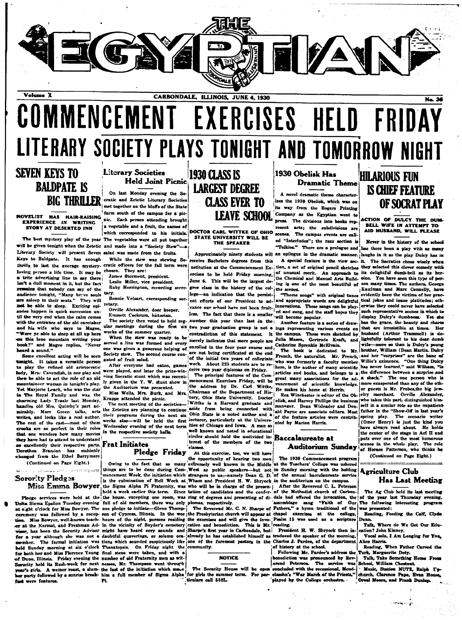

Volume X

# COMMENCEMENT EXERCISES HELD LITERARY SOCIETY PLAYS TONIGHT AND TOMORROW NIGHT

# **SEVEN KEYS TO BALDPATE IS BIG THRILLER**

**STORY AT DESERTED INN** 

The best mystery play of the year The vegetables were all put together will be given tonight when the Zetetic and made into a "Society Stew"-a Literary Society will present Seven salad was made from the fruits. Keys to Baldpate. It has enough thrills to last the average mystery. cratic officers for the fall term were loving person a life time. It may be chosen. They are: a trite advertising line to say there! isn't a dull moment in it, but the fact ains that nobody can say of the audience tonight, "Many brave souls tary. are asleep in their seats." They will not be able to aleep. Exciting episodes happen in quick succession until the very end when the calm comes with the entrance of the old caretaker and his wife who says to Magee, 'Were ye able to sleep at all up here on this lone mountain writing your book?" and Magee replies, "Never heard a sound.'

Some excellent acting will be seen might. It takes a versatile person to play the refined old aristocratic lady. Mrs. Cavendish, in one play and then be able to act the role of an old mountaineer woman in tonight's play. Vet Mariorie Leach who was the star in The Royal Family and was the charming Lady Teazle last Monday, handles old Mrs. Quimby's part ad-<br>mirably. Marc Green talks, acts writes, and looks like a real author. The rest of the cast-most of them crooks are so perfect in their roles that one wonders how many movies they have had to attend to understand so excellently their respective parts. Dorothes Brandon has suddenly changed from the Ethel Barrymor (Continued on Page Eight.)

# مستدان فرديا مقاد Sorority Pledges

 $\label{eq:1} \mathcal{L} = \mathcal{L} \mathcal{L} = \mathcal{L} \mathcal{L} = \mathcal{L} \mathcal{L} = \mathcal{L} \mathcal{L} = \mathcal{L} \mathcal{L} = \mathcal{L} \mathcal{L} = \mathcal{L} \mathcal{L}$ 

Delta Sigma Epsilon Tuesday evening full of old members, there was only plomas, respectively. at eight o'clock for Miss Bowyer. The one pledge to initiate—Glenn Thompceremony was followed by a recep- son of Cypress, Illinois. In the wee can at the Normal, and Freshman Ad- in the vicinity of Snyder's cemetery extion and benediction. This is Mr. reading.<br>
visor, has been the Sorority Advisor might have heard eery sounds and Sharpe's first year in Carbondale visor, has been the Sorority Advisor might have heard eery sounds and held Sunday morning at six o'clock Thanatopsis. On Friday night the for both her and Miss Florence Young final steps were taken, and with a of Dupo, Illinois. Friday evening the number of old Fraternity men as wit-Sorority held its Rush-week for next nesses, Mr. Thompson went through are eirla fast were features.

# **Literary Societies Held Joint Picnic**

On last Monday evening the Socratic and Zetetic Literary Societies met together on the bluffs of the State farm south of the campus for a pic-**NOVELIST HAS HAIR-RAISING LETTER POWER STATES IN A MOVEL STATES.** Back person attending brought a vegetable and a fruit, the names of which corresponded to his initials. DOCTOR CARL WITTKE OF OHIO

While the stew was stewing So-

James Storment, president. Leslie Miller, vice president.

Ruby Herrington, recording secre

Bonnie Velsart, corresponding secretary.

Orville Alexander, door keeper. Emmett Cockrum, historian

weeks of the summer quarter. When the stew was ready to be

section we may surface and every an experiment man four people are when mass given a generate MeElvain.<br>One was given a generation helping of enrolled in the four year course and in the book is a said Sprenkle MeElvain. Society stew. The second course consisted of fruit salad.

After everyone had eaten, game were played, and later the prize-winning Socratic stunt which was recently given in the Y. W. stunt show in the Auditorium was presented. Miss Wells, Mrs. Burk, and Mrs.

Krappe attended the picnic. The next meeting of the societies the Zetetics are planning to continue their programs during the next six weeks also-will be held the first

in the respective society halls. **Frat Initiates** 

# Pledge Friday

mber. The formal initiation was tions which sounded surpiciously like

A weiner roast, a slum- the last of the initiation which mane PL.

# **1930 CLASS IS LARGEST DEGREE CLASS EVER TO LEAVE SCHOOL**

# STATE UNIVERSITY WILL BE THE SPEAKER

receive Rachelors degrees from this ercises to be held Friday morning, of unusual merit. An approach to June 6. This will be the largest degree class in the history of the col-jthe scenes. lege-an indication that the persistwhere our school have not been fruit. innovations. These songs can be play-<br>been that that there is a small innovations. These songs can be playless. The fact that there is a smaller ed and sung, and the The society then voted to hold reg- number this year than last in the ular meetings during the first six two year graduation group is not a ings representing various events on contradiction of this statement. It the campus. These were sketched by merely indicates that more neonle are Julia Mason, Gertrude Kraft, and merely indicates that more people are Julia Mass

are not being certificated at the end work. About 225 students are to re- here, is the author of many scientific ceive two year diplomas on Friday. The principal features of the Com Chairman of the Department of History, Ohio State University. Doctor Wittke is a Harvard graduate and aside from being connected with all Payne are associate editors. Most lecturer, particularly at the Univers-Wednesday evening of the next term ities of Chicago and Iowa. A man so

well known and noted in educational circles should hold the undivided in Baccalaureate at terest of the members of the two 'else

At this exercise, too, we will have the opportunity of hearing two men Owing to the fact that so many extremely well known in the Middle at the Teachers' College was ushered things are to be done during Com- West as public speakers-but not in Sunday morning with the holding mencement Week, the initiation which strangers to us-namely Dean G. D. of the annual baccalaureate service Miss Emma Bowyer the Sigma Alpha Pi Fraternity, was who will be in charge of the presen- After the auditorium on the campus.<br>Miss Emma Bowyer the Sigma Alpha Pi Fraternity, was who will be in charge of the presen- After th

The Reverend Mr. C. N. Sharpe of Fathers," the Presbyterian church will appear at chapel Miss Bowyer, well-known teach- hours of the night, persons residing the exercises and will give the invo- Psalm 15 was used as a scripture

for a year although she was not a daubtful quaverings, or solemn ora- already he has established himself as troduced the speaker of the morning. one of the foremost pastors in the Charles J. Pardee, of the department community.

### **NOTICE**

The Sorerity House will be open ber party followed by a sunrise break- him a full member of Sigma Alpha for girls the summer term. For par- elssohn's "War March of the Priests," ticulars call 552L.

# 1930 Obelisk Has **Dramatic Theme**

A novel dramatic theme character izes the 1930 Obelisk, which was on its way from the Rogers Printing Company as the Egyptian went to press. The divisions into books represent acts; the subdivisions are scenes. The campus events are called "Interludes"; the razz section is

"Talkies." There are a prologue and Approximately ninety students will an epilogue in the dramatic manner. laughs in it as the play Dulcy has in nstitution at the Commencement  $Ex -$ ; tion, a set of original pencil sketches they selected this clever comedy with

ing is one of the most beautiful of son many times. The authors, George "Theme songs" with original tun

Another feature is a series of draw-

The book is dedicated to My are not being certificated at the end. French, the naturalist. Mr. French, and her "surprises" are the bane of<br>lof the initial two years of collegiate (when the naturalist. Mr. French, and her "surprises" are the bane of<br> articles and books, and belongs to a the difference between a surprise and

> elisk, and Harvey Phillips the business of the feature articles were contributed by Marion Harris.

The 1930 Commencement program

Pleage services were held at the the house, excepting one room, was ring of degrees and presenting of di- dale had offered the invocation, the blue, excepting one room, was ring of degrees and presenting of di- dale had of assemblage sang "Faith of Our<br>Fathers," a hymn traditional of the exercises at the college

> President H. W. Shryock then in of history at the school.

Following Mr. Pardee's address the benediction was pronounced by Reverend Peterson. The service was concluded with the reces sional. Mendplayed by the College orchestra.

# **HILARIOUS FUN IS CHIEF FEATURE** OF SOCRAT PLAY

No. 36

ACTION OF DULCY THE DUM-**BELL WIFE IN ATTEMPT TO<br>AID HUSBAND, WILL PLEASE** 

Never in the history of the school has there been a play with as many A special feature is the view sec- it. The Socratics chose wisely when its delightful dumb-bell as its herthe Chemical and Manual Arts Build. oine. You have seen this type of per-Kaufman and Marc Connelly, have evidently been the victims of her pracent efforts of our President to ad- and appropriate words are delightful tical jokes and inane platitudes; otherwise they could never have selected such representative scenes in which to display Dulcy's dumbness. Yet she has the grace, the beauty and charm that are irresistible at times. Her husband (Arthur Trammell) is delightfully tolerant to his dear dumb wife-more so than is Dulcy's young brother. William (Dean Martin, Dulcy has never learned." said William. "is The principal features of the Com-intensity associations for the ad- a sheck." The one person who is<br>mencement Exercises Friday, will be great many associations for the ad-<br>a sheck." The one person who is<br>the address by Dr Rea Winchester is editor of the Ob. elry merchant. Orville Alexander, who takes this nart, distinguished himself in a similar role as the impatientfather in the "Show-Off in last year's spring play. The scenario writer<br>(Omer Henry) is just the kind you have always read about. He holds the center of the stage in Act II and puts over one of the most humorous scenes in the whole play. The role Auditorium Sunday of Horace Patterson, who thinks he (Continued on Page Eight.)

# **Agriculture Club Has Last Meeting**

The Ag Club held its last meeting of the year last Thursday evening. The following interesting program was presented:

Reading, Feeding the Calf, Clyde Dunn.

Talk, Where do We Get Our Eduation? John Kinney.

Vocal solo, I Am Longing for You. Alice Harris.

Reading, When Father Carved the Turk, Marguerite Doty.<br>Turk, Marguerite Doty.<br>Talk, Take Something Home From

School, William Chestnut. Music, Station NUTZ, Ralph To-

church, Clarence Pape, Evan House, Orval Moore, and Frank Dunlap.

نور دیکھیے<br>اقدام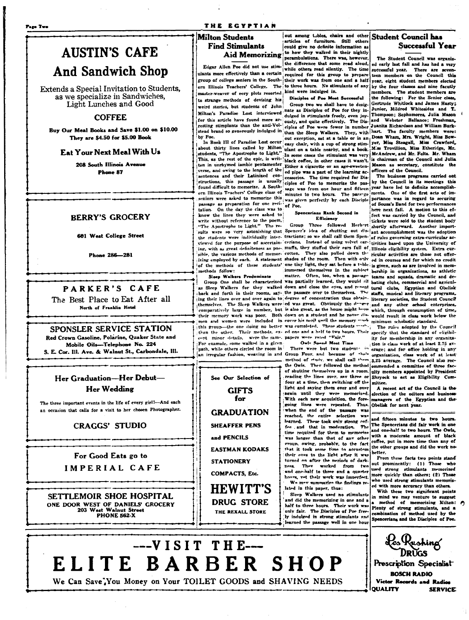### Page Two

### THE EGYPTIAN

# Milton Students **Find Stimulants**

Edgar Allen Poe did not use stimulants more effectively than a certain master-weaver of eery plots resorted kind were indulged in. to strange methods of devising his weird stories, but students of John Milton's Paradise Lost interviewed for this article have found more arresting stimplants than the anti-Volby Poe

In Rook III of Paradise Lost occur shout thirty lines called by Milton and table astrong sum-<br>students, "The Apostrophe to Light." In some cases the stimulant was very<br>students, "The Apostrophe to Light." In some cases the stimulant was very students, "The Apostrophe to Light." In some cases the stimulant was very<br>This, as the rest of the epic, is writ- black coffee, in other cases it wasn't. ten in unrhymed iambic pentamenter Either a cigarette or an age-sweetenverse, and owing to the length of the sentences and their Latinized constructions, this passage is usually found difficult to memorize. A Southern Illinois Teachers' College class of seniors were asked to memorize this was given perfectly by each Disciple passage as preparation for one recitation. On the day the class was to know the lines they were asked to write without reference to the poem. "The Apostrophe to Light." The re sults were so very astonishing that Spencer's idea of shutting out dis-jant accomplishment was the adoption sure state were individually inter- tractions; so we shall call them Spen-jof rules governing extra-curricular ac-<br>viewed for the purpose of ascertain-cerians. Instead of using velvet ear-livities based upon the University ing, with as great definiteness as pos-, muffs, they stuffed their ears full of Himois eligibility system. Extra curing, with as great definiteness as post murs, were soured with the same of illinois eligibility system. Extra cur-<br>Saille, the various methods of memor- cotton. They also pulled down the ricular activities are those not o of the methods of these students' one tiny light, they sat before a toble is given, such as are involved in memmethods follow:

Sleep Walkers Predominate Steep waikers recognisation of the method was partially learned, they would sit hating clubs, commercial and agricul-<br>In the characterized was partially learned, they would sit hating clubs, commercial and agricul-<br>as Slee back and forth in their rooms, say- the passage over to themselves. The staffs, musical and literary programs, ing their lines over and over again to degree of concentration thus obtain- literary societies, the Student Council imposition. The Skep Walkers were led was great. Obviously the determinant any other school enterprises, themselves. The Sicep walkers were jew was given. Obviously the one-war and any other school enterprises,<br>
"comparatively large in number, but is also great, as the house might houng the one-wand to fine,<br>
"their memory w than the other. Their methods, ex- ed one and a helf to two bours. Their specify that the standard of eligibilcent minor details, were the same, papers were rated "Fair." For example, some walked in a given path, while others circled the room in

See Our Selection of

could give no definite information as Aid Memorizing to how they walked in their nightly the difference that some read aloud, while others read silently. The time ulants more effectively than a certain required for this group to prepare<br>group of college seniors in the South-their work was from one and a half ern Illinois Teachers' College. The to three hours. No stimulants of any Disciples of Poe Most Succe

Group two we shall have to designate as Disciples of Poe for they indulged in stimulants freely, even joy-<br>ously, and quite effectively. The Disciples of Poe were fewer in number stead brand so generously indulged in then the Sleep Walkers. They, with hart. The faculty members were: out exception, sat at a table or in an Dean Wham, Mrs. Wright, Miss Boweasy chair, with a cup of strong stimed pipe was a part of the learning accessories. The time required for Dis ciples of Poe to memorize the passage was from one hour and fifteen minutes to two hours. The pass-ge

### Spencerians Rank Second in Efficiency

Owls Spend Most Time

There were but two students in path, while others circles the room in the state of the cause of their crace; and for one noving in any<br>an irregular fashion, weaving in and Group Four, and because of their organization, class work of at least the Owls. They followed the method of shutting themselves up in a room. reading the lines over, say three or four at a time, then switching off the light and saying them over and over again until they were memorized. With each new acquisition, the fore going lines were repeated. Thus. when the end of the passage was reached, the entire selection was learned. These took only strong coffee and that in moderation. The time required for them to memorize was longer than that of any other roun. owing, probably, to the fact that it took some time to accustom their eves to the light after it was turned on after the neriods of dark-They worked from two and one-half to three and a quarter We may summarize the findings re lated in this paper, thus:

Sleep Walkers used no stimulants and did the memorizing in one and a half to three hours. Their work was only fair. The Disciples of Poe free ly indulged in strong stimulants and learned the passage well in one hour

out among tables, chairs and other Student Council has **Successful Year** 

> The Student Council was organized early last fall and has had a very successful year. There are seve teen members on the Council this vear, eight student members elected by the four classes and nine facutly nembers. The student members are the following: For the Senior class, Gertrude Whitlock and James Hasty: Junior, Mildred Whitesides and T. Thompson; Sophomores, Julia Mason Webster Ballance; Freshman, and. Juanita Richardson and William Burkyer, Miss Steagall, Miss Crawford, McAndrew, and Mr. Felts. Mr. Wham is chairman of the Council and Julia Mason as secretary, constitute the officers of the Council.

The business programs carried out by the Council in its meetings this vear have led to definite accomplishments. One of the first acts of importance was in regard to securing of Sousa's Band for two performances here next fall. A motion to this effect was carried by the Council, and tickets were sold to the student body Group Three followed Herbort shortly afterward. Another importimmersed themselves in the subject bership in organizations, as athletic matter. Often, too, when a passage teams and squads, dramatic and de-

> ity for membership in any organization is class work of at least 2.75 average; and for office holding in any ommended a committee of three faculty members appointed by President Shryock to act as Eligibility Committee.

> A recent act of the Council is the election of the editors and business Obelisk for next year.

and fifteen minutes to two hours. The Spencerians did fair work in one and one-half to two hours. The Owls. with a moderate amount of black coffee, put in more time than any of the other groups and did the work no better.

From these facts two points stand out prominently: (1) Those who<br>used strong stimulants memorized more quickly than others; (2) Those who used strong stimulants memorized with more accuracy than others.

With these two significant points in mind we may venture to st a method of memorizing Milton: P Plenty of strong stimulants, and a combination of method used by the Spencerians and the Disciples of Poe.

Les Rushing<br>Drugs Prescription Specialist **BOSCH RADIO** Victor Records and Radios **OUALITY SERVICE** 

# **AUSTIN'S CAFE And Sandwich Shop**

Extends a Special Invitation to Students. as we specialize in Sandwiches. Light Lunches and Good

# **COFFEE**

Buy Our Meal Books and Save \$1.00 on \$10.00 They are \$4.50 for \$5.00 Book

### **Eat Your Next Meal With Us**

208 South Illinois Avenue Phone 87

## **BERRY'S GROCERY**

601 West College Street

Phone 286-281

# PARKER'S CAFE

The Best Place to Eat After all North of Franklin Hotel

### SPONSLER SERVICE STATION Red Crown Gasoline, Polarine, Quaker State and Mobile Oils-Telephone No. 224 S. E. Cor. Ill. Ave. & Walnut St., Carbondale, Ill.

# Her Graduation-Her Debut-**Her Wedding**

The three important events in the life of every girl!--- And each an occasion that calls for a visit to her chosen Photographer.

## **CRAGGS' STUDIO**

# For Good Eats go to **IMPERIAL CAFE**

SETTLEMOIR SHOE HOSPITAL ONE DOOR WEST OF DANIELS' GROCERY 203 West Walnut Street **PHONE 562-X** 

**GIFTS** for **GRADUATION SHEAFFER PENS** and PENCILS **EASTMAN KODAKS STATIONERY COMPACTS, Etc. HEWITT'S DRUG STORE** 

THE REXALL STORE

 $--VISITTHE---$ ELITE BARBER SHOP We Can Save You Money on Your TOILET GOODS and SHAVING NEEDS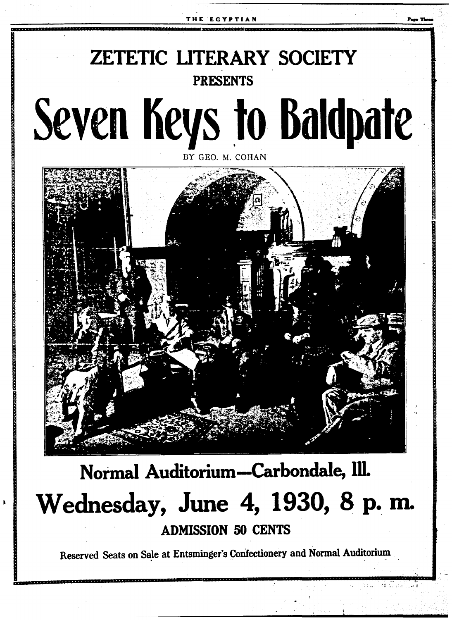

# Normal Auditorium-Carbondale, Ill. Wednesday, June 4, 1930, 8 p.m. **ADMISSION 50 CENTS**

Reserved Seats on Sale at Entsminger's Confectionery and Normal Auditorium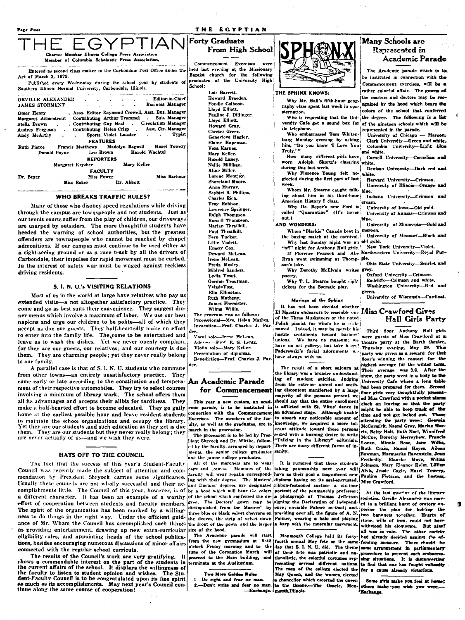### $\mathbf{r} \times \mathbf{v} \times \mathbf{r} \times \mathbf{r}$

| race rous                                                                                                                                                                                                                                                                                                                                                                                                                                                                                                                             | IRE EGIFIIAN                                                                                                                                                                      |                                                                                                                                                                                                                                                                                                                 |                                        |
|---------------------------------------------------------------------------------------------------------------------------------------------------------------------------------------------------------------------------------------------------------------------------------------------------------------------------------------------------------------------------------------------------------------------------------------------------------------------------------------------------------------------------------------|-----------------------------------------------------------------------------------------------------------------------------------------------------------------------------------|-----------------------------------------------------------------------------------------------------------------------------------------------------------------------------------------------------------------------------------------------------------------------------------------------------------------|----------------------------------------|
| THE EGYPTIAN <sup>Forty</sup> Graduate<br>Charter Member Illinois College Press Association<br>Member of Columbia Scholastic Press Association.<br>Entered as second class matter in the Carbondaie Post Office under the held last evening at the Missionary<br>Act of March 3, 1879.<br>Published every Wednesday during the school year by students of <i>graduates</i> of the University High<br>Southern Illinois Normal University, Carbondale, Illinois.<br>the component contract of the contract of the contract of the con- | From High School<br>Commencement Exercises were<br>Baptist church for the following<br>School:<br>Lois Barrett.                                                                   | - 3<br>THE SPHINX KNOWS:                                                                                                                                                                                                                                                                                        | Mar<br>The<br>be ins<br>Comm<br>rather |
| . Editor-in-Chief<br>ORVILLE ALEXANDER<br>JAMES STORMENT Business Manager<br>Omer Henry  Asso. Editor Raymond Crowell, Asst. Bus. Manager<br>Margaret Armentrout Contributing Arthur Trammel . Sub. Manager<br>Stella Brown . Contributing Guy Neal . Circulation Manager<br>Audrey Ferguson . Contributing Helen Crisp . Asst. Cir. Manager  <br>Andy McArthy Sports Violet Lasater Typist<br><b>FEATURES</b><br>Ruth Pierce Francis Matthews Madolyn Bagwill Hazel Towery                                                           | Howard Breeden.<br>Fondle Calhoon.<br>Lloyd Elliott.<br>Pauline J. Dillinger.<br>Lloyd Elliott.<br>Howard Grav.<br><b>Chester Greer.</b><br>Genevieve Hagler.<br>Elaine Hapeman.  | Why Mr. Hall's fifth-hour geog-<br>raphy class spent last week in con-;<br>sternation.<br>Who is requesting that the Uni-the de<br>versity Cafe get a sound box for of the<br>its telephone.<br>Who embarrassed Tom Whiten-  Univ<br>burg Monday evening by asking; Clar<br>him, "Do you know 'I Love You! Colu | ithe mu<br>ognize<br>colors<br>repres  |
| Harold Wachtel<br>Leo Brown<br>Donald Payne<br><b>REPORTERS</b><br>Margaret Krysher Mary Keller<br><b>FACULTY</b><br>Miss Barbour<br>Miss Power<br>Dr. Beyer<br>Miss Baker Dr. Abbott<br>WHO BREAKS TRAFFIC RULES?                                                                                                                                                                                                                                                                                                                    | Vera Karnes.<br>Mary Keller.<br>Harold Laney.<br>Nellie Millikan.<br>Aline Miller.<br>Lorene Montjoy.<br>Shoreland Moore.<br>Anna Murray.<br>Sevbirt R. Phillips.<br>Charles Dich | Truly.' "<br>How many different girls have Corr<br>worn Adolph Skortz's classring white.<br>during this last week.<br>Why Florence Young felt ne-<br>glected during the first part of last<br>week.<br>Whom Mr. Stearns caught talk- blue.<br>ing about him in his third-hour! India                            | and w<br>Den<br>white.<br>Har<br>Univ  |

Many of those who disobey speed regulations while driving through the campus are townspeople and not students. Just as our tennis courts suffer from the play of children, our driveways are usurped by outsiders. The more thoughtful students have heeded the warning of school authorities, but the greatest offenders are townspeople who cannot be reached by chapel admonitions. If our campus must continue to be used either as a sight-seeing ground or as a race track by all the drivers of Carbondale, their impulses for rapid movement must be curbed. In the interest of safety war must be waged against reckless driving residents.

### S. I. N. U.'s VISITING RELATIONS

Most of us in the world at large have relatives who pay us extended visits-a not altogether satisfactory practice. They come and go as best suits their convenience. They suggest dinner menus which involve a maximum of labor. We use our best napkins and urge our children to be polite-all of which they accept as due our guests. They half-heartedly make an effort to enter into the family life. The come to be entertained and leave us to wash the dishes. Yet we never openly complain, for they are our guests, our relatives; and our courtesy is due them. They are charming people; yet they never really belong to our family.

A parallel case is that of S. I. N. U. students who commute from other towns-an entirely unsatisfactory practice. They come early or late according to the constitution and tempera- An Academic Parade ment of their respective automobiles. They try to select courses involving a minimum of library work. The school offers them all its advantages and accepts their alibis for tardiness. They make a half-hearted effort to become educated. They go gaily home at the earliest possible hour and leave resident students to maintain the school organizations and occupy the library. Yet they are our students, and such education as they get is due them. They are our students but they never really belong; they are never actually of us-and we wish they were.

### HATS OFF TO THE COUNCIL

The fact that the success of this year's Student-Faculty Council was recently made the subject of attention and commendation by President Shryock carries some significance iseuity will wear regain correspond the Masters' diploma having on its seal-encrusted, Usually these councils are not wholly successful and their ac-land Doctors' degrees are designated ribbon-festooned surface a six-tone complishments little. The Council of this year, however, is of by a hood which will bear the colors portrait of the penmanship professor; a different character. It has been an example of a worthy of the school which conferred the de-<br>effort of cooperation between students and faculty members. Free. The Doctors' gown may be The spirit of the organization has been marked by a willing-distinguished from the measure -7. ness to do things in the right way. Under the efficient guid-the sleeves, the strip of velvet down ance of Mr. Wham the Council has accomplished such things the front of the gown and the larger as providing entertainment, drawing up new extra-curricular size of the hood eligibility rules, and appointing heads of the school publications, besides encouraging numerous discussions of minor affairs connected with the regular school curricula.

The results of the Council's work are very gratifying.  $\mathbf{H}$ shows a commendable interest on the part of the students in<br>the current affairs of the school. It displays the willingness of the faculty to listen to student opinion and wishes. The Student-Faculty Council is to be congratulated upon its fine spirit as much as its accomplishments. May next year's Council continue along the same course of cooperation!

Troy Robison ence Springer Ralph Thompson. Russell Thompson. Marian Thrailkill. Paul Thrailkill. Fern Tucker. Lillie Violett. Emery Cox. Deward McLean. Irene McLean. Freda Mosley Mildred Sanders. Lydia Trout. Gordon Troutman Volodo Vost **Ella Ellinoton.** Ruth Matheny. James Phemister Wilms Willis. The program vas as follows:

Processional-Mrs. Helen Mathes. Invocation-Prof. Charles J. Par-

Voral solo-Irane McLean Address-Prof. E. G. Lentz. Violin solo-Mary Keller. Presentation of diplomas. Benediction-Prof. Charles J. Parlee.

# for Commencement

This year a new custom, an academic parade, is to be instituted in onnection with the Commencement Exercises. The members of the faculty, as well as the graduates, are to march in the procession.

The procession is to be led by Pres ident Shryock and Dr. Wittke, followed by the faculty, arranged by denartments, the senior college graduates and the junior college graduates.

All of the marchers are to wear caps and gowns. Members of the taking penmanship next year will Alvis, Jessie Cagle, Hazel Towery. faculty will wear regalia correspond- have as their goal a magnificent new

The Academic parade will start from the new gymnasium at 9:45 o'clock Friday morning and to the tune of the Coronation March will proceed to the Main building, and .<br>terminate at the Auditorium.

### Two More Colden Rules

1-Do right and fear no man 2.-Don't write and fear no man. American History I class.

Why Dr. Beyer's new Ford is led "Quarantine" (It's never called (it's never out.) **AND WONDERS:** 

Whom "Blackie" Canada beat in the boxing match at the carnival. Why last Sunday night was an old gold. "off" night for Anthony Hall girls.

Ryan went swimming at Thomp- ple. son's lake. Why Dorothy McElvain writes grey.

poetry. Why T. L. Stearns bought eight

tickets for the Socratic play.

### Musings of the Sphinx

It has not been decided whether El Maestro endeavors to resemble one Miss Crawford Gives of the Three Musketeers or the noted Polish pianist for whom he is nicknamed. Indeed, it may be merely his hostile sentiments toward barbers unions. We have no museum; we have no art gallery; but take heart? Paderewski's facial adornments we have always with us.

The result of a short sojourn at the library was a broader understanding of student suicides. Judging from the extreme unrest and seething discontent manifested by a large majority of the persons present we should say that the entire enrollment is afflicted with St. Vitus' dance in an advanced stage. Although unable to absorb any noticeable amount of knowledge, we acquired a more tolerant attitude toward those persons seized with a burning desire to write "Talking in the Library" editorials. There are many different forms of insanity.

a photograph of Thomas Jefferson signing the Declaration of Independ. presiding over all, the figure of A. N. Palmer, wearing a halo and playing a harp with the muscular movement.

fourth annual May fete on the same fending measure. There should have the day that S. L. N. U. did. The theme some arrangement in parliamentary of their fete was patriotic and nationalistic, the colorful costumes representing sevenal different nations. The men of the college elected the May Queen, and the women elected a chancellor which escorted the queen to the throne.-The Oracle, Mon--Exchange. mouth Illinois.

# iv Schools are lenresented in Academic Parade

Academic parade which is todituted in connection with the encement exercises, will be a colorful affair. The gowns of asters and doctors may be recd by the hood which bears the of the school that conferred gree. The following is a list nineteen schools which will be ented in the parade.

versity of Chicago - Marcon.

k University-Green and white. ımbia University-Light blue

nell University—Carnelian and

ison University-Dark red and

vard University-Crimson. versity of Illinois-Orange and

ana University-Crimson and cream.

University of Iowa-Old gold.

University of Kansas-Crimson and blue

University of Minnesota-Gold and marcon.

University of Missouri-Black and

New York University-Violet. If Florence Peacock and Abe Northwestern University-Royal Pur-

Ohio State University-Scarlet and

Oxford University-Crimson. Radcliffe-Crimson and white.

Washington University-Red and University of Wisconsin-Cardinal.

# **Hall Girls Party**

Third floor Anthony Hall girls were guests of Miss Crawford at a theatre party at the Barth theatre, Thursday evening. May 29. This party was given as a reward for that floor's winning the contest for the highest average for the winter term. Their average was 3.8. After the show, the party went in a body to the University Cafe where a long table had been prepared for them. Second floor girls very thoughtfully pres ed Miss Crawford with a pocket alarm clock on leaving so that the party might be able to keep track of the time and not get locked out.  $\mathbf{L}$ attending the party were: Georgia McCormick, Naomi Gray, Marian Harris, Betty Holt, Ruth Noel, Winnifred McCue, Dorothy Merreyhew, Francis Logan. Minnie Rose, Jane Willis,<br>Ruth Crain, Naomi Hayes, Aileen Rowman, Marcuerite Ravenstein, Jean Feriheilly. Blanche Moye, Wilms Pauline Fietsam, and the hastess, Miss Crawford.

At the last mooting of the literary societies. Orville Alexander was moved to a brilliant burst of oratory onence; enviable Palmer method; and posing the plan for holding the two banquets to ether. Hearts of<br>stone, wills of iron, could not have withstood his eloquence. But alas! all was in vain. The other society Monmouth College held its forty- had already decided against the afprocedure to prevent such embarras-<br>sing situations. It is disconcerting to find that one has fought valiantly for a cause already victorious.

> Some girls make you feel at home; others make you wish you were Exchange.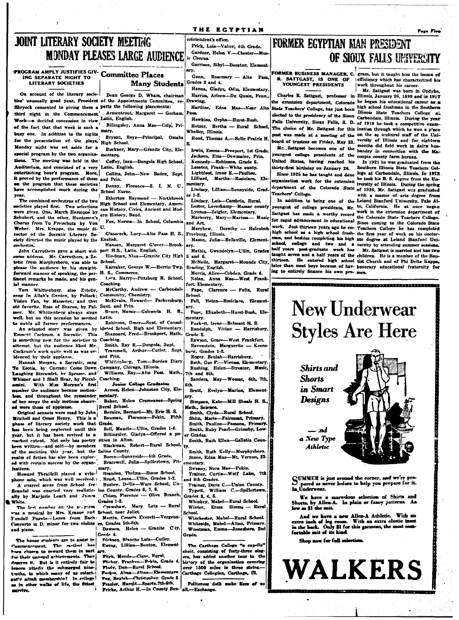### THE EGYPTIAN

# **JOINT LITERARY SOCIETY MEETING MONDAY PLEASES LARGE AUDIENCE**

**PROGRAM AMPLY JUSTIFIES GIV. Committee Places LITERARY SOCIETIES** 

On account of the literary societies' unusually good year, President of the Appointments Committee, re-Shryock consented to giving them a ports the following placements: third night in the Commencement Week-a decided concession in view Latin, English. of the fact that that week is such a busy one. In addition to the nights for the presentation of the plays, High School. Monday night was set aside for a special program by the two organizations. The meeting was held in the Auditorium, and consisted of a very Latin, English. entertaining hour's program. More, it proved by the performance of those and Prin. the program that these societies have accomplished much during the School Nurse. year.

were given. One, March Heroique by Schubert, and the other, Huntsmen's Chorus from Tu Freischutz by Von Weber. Mrs. Krappe, the music di- U. rector of the Socratic Literary Society directed the music played by the English. orchestra.

e address. Mr. Carruthers, a Zetetic from Murphysboro, was able to School. please the audience by his straightforward manner of speaking, the per- H. S., Commerce. tinent remarks he made, and his genial manner

Tom Whittenburg, also Zetetic. ong In Allah's Garden, by Pollock; Vision Fan, by Massenet; and that old favorite. Rose of Sharon, by Pal- Sunt and Prin. Mr. Whittenberg always sings well, but on this occasion he seemed Latin. to outdo all former performances.

An adapted story was given by Emmett Cockrum. a Socratic. This is something new for the societies to Coaching. attempt, but the audience liked Mr. Cockrum's work quite well as was evidenced by their applause.

Hannah Morgan, a Socratic, sang To Esotia, by Curran; Come Down Company, Chicago, Illinois. Laughing Streamlet, by Sprosse, and Whisper and I Shall Hear, by Piccol- Coaching. With Miss Morgan's first omini. number the audience became moti m, and throughout the remainder i of her songs the only motions observed were those of applause.

Original sonnets were read by John Mitchell and Omer Henry. This is a Baur<br>phase of literary society work that Grade. has been being neglected until this year, but it has been revived to a marked extent. Not only has poetry sition in Alton. been written-and sold-by members of the societies this year, but the Saline County. realm of fiction has also been explored with certain success by the organfrations.

Howard Thrailkill played a xylophone solo, which was well received. A ouarrel scene from School for

candal was enacted very realistic- ion County. Grades 6, 7, 8. ally by Marjorie Leach and James White.

The lest number on the program was a musical by Mrs. Krappe and School, near Joliet.<br>Fendall Fugate-Larro from Bach: Martin, Crossin I Concerto in D. minor for two violins es, Grades 5th-8th. and piano.

The honor students are to assist in ent. The method has! ncen base chosen to reward them in part for their unpanul achievements. They erve it. But is it entirely fair to fenore utterly the submerged ninet-whs. to which many of us reluctst'v admit membershin? In college as in other walks of life, the fittest mrvive.

**Many Students** Dean George D. Wham, chairman

Armentrout, Margaret - Gorham. Billingsley, Anna Mae-Colp, Pri-

mary. Bryant, Roye-Principal, Omaha

Buckner, Mary-Granite City, Eleentarq. Coffey, Inez-Dongola High School.

Collins, John-New Baden, Supt

Denny, Florence-S. I. N. U.,

Etherton Raymond - Northbrook

eas.<br>The combined orchestras of the two in Election Raymond — Aorthorock<br>
mocieties played first. Two selections can Ristory. Civics, Ancient and Modcan History, Civics, Ancient and Modern History, Band.

Fox, Norma-In School, Columbia

Glasscock, Lucy-Alto Pass H. S.,

Hanson, Margaret Glover-Brook-John Carruthers gave a short wel- port H.S., Latin. English.

Hindman, Nina-Granite City High Karraker, George W.-Herrin Twp.

L<sup>pi</sup>z. Harry-Pittsburg H. School,

Coaching. McCarthy, Andrew -- Carbondale

mmunity, Chemistry.  $\mathbf c$ McElvain. Howard- Parkersburg.

-Golconda H. S. Roxer, Mamie Robinson, Omer-Supt. of Consol-

idated School. High and Elementary. Shappard, Fred-Brookport, Math.,

Smith, Ray R.-Dongola, Supt. Trammell, Arthur-Cutler, Supt. and Prin.

Whittenberg, Tom-Borden Diary

Williams, Ray-Alto Pass. Math.,

Juni r Cellege Graduate Armes, Helen-Johnston City, Ele-.<br>•ntary.

Baker, Helen Cromeanes-Spring Rural School.

Bernice, Barnard-Mt. Erie H. S. Bauman, Florence-Pekin, Fifth

Bell, Maudie-Ullin, Grades 1-4. Billingsley. Gladys-Offered a po-

Blackman, Robert-Rural School,

Boren-Sunnyside-5th Grade. Bracewell, Julia-Spillertown, Pri-

Brandon, Thelma-Stone School. Brust, Leona-Ullin, Grades 1-2.

Buzbee, Dellis-Ware School, Un-Chism. Florence -- Olive Branch

Grades 1-2. Mary Leta - Rura Crawshaw.

Martin, Crossin Everett-Vergenn

Dawson, Helen -- Granite Cty, Grade 4. Dickson, Blanche Lola-Cutler.

Ewing, Lillian-Benton, Element

Fitch, Mande-Cisne, Rural. Flicker. Frankve-Pekin, Grade Flody, Don-Rural School. Porbes. Alma-Alton-Elementsrv<br>Fox. Beulah-Christopher. Grade 3

Frazier, Harold-Sparta.7th-8th. Fricke, Arthur H.-In County Sup-

erintendent's office. Frick, Lois-Valier, 4th Grade. Gardner, Helen V.-Chester-Music Chorns Garrison, Sibyl-Decatur, Element arv. Gunn, Rosemary - Alto Pas Grades 3 and 4.

Hanna, Gladys, Odin, Elementary. Harriss, Arleen-Da Quoin, Penn.

Drawine. Hartline, Edna Mae Near Alto Page.

Hawkins, Orpha-Hurst-Bush Hetzer, Bertha - Rural School, Wheller, Illinois. Hood, Thomas A.-Belle Prairie H.

Irwin, Emma-Freeport, 1st Grade Jackson, Etta-Dewmaine, Prin.

Kennedy-Robinson, Grade 5. Lasater, Frank-White ounty. Lightfoot. Irene E.-Paulton.

Lilliard, Martha-Rosiclare, Ele nentary. Lindsey, Lillian-Sunnyside, Grad-

 $\pm 1 - 2$ . Lindsey, Lois-Cambria, Rural.

- Lester, Loverkamp-Massac county Lyones-Zeigier, Elementary. Marberry, Mary-Marissa- Music
- und Art. Maryhew. Dorothy - Halcolmb Freeburg, Illinois.

Mason, Julia-Belleville, Element-

Mathis Gwendolyn-Ullin, Grades  $5$  and  $6.$ 

McNeile, Margaret-Mounds City, Reading, English. Morris, Alice-Cobden, Grade 4.

Nolan. Anna Mae-West Frankfort. Elementary.

Clarence - Fults, Rural Pape.

Pell. Helen-Rosiciare. Element-Pope, Elizabeth-Hurst-Bush, Ele

- Puckett, Irene-Belmont H. S. Randolph, Vivian - Harrisburg, Grade 2.
- Rawson, Grace-West Frankfort. Ravenstein. Marguerite - Keens burg. Grades 1-2.

Roger. Beulah-Harrisburg. Roth, Gus F.-Vienna, Elementary. Rushing. Helen-Streator. Music,

7th and 8th. Sanders, May-Womac, 6th, 7th

8th. Scott, Evelyn-Marion, Element

LF Y. Simpson, Kate-Mill Shoals H. S.

Math., Science. Smith, Clyde-Rural School.

Shita, Marie-Fairmont, Primary. Smith, Pauline-Pomona, Primary.

Smith, Ruby Pearl-Grimsby, Lowr Grades Smith, Ruth Ellen-Gallatin Coun

tv. Smith, Ruth Kelly-Murphysboro.<br>Stone, Edna Mae-Mt. Veruon, Elementary.

Sweany, Nora Mae-Pekin. Trainer, Curtis-Wolf Lake, 7th and 8th Grades.

Trainer, Doris C.-Union County. William C.-Spillertown Tygett, Grades 3, 4, 5,

Whipkey, Mabel-Rural School. Winter, Erma Simms - Rural

School. Winchester, Mabel-Rural School. Whiteside, Mabel-Alton, Primary.

Worstman, Emma-Jonesboro, 2nd Grade.

The Carthage College "a capella' choir, consisting of forty-three singera, has added another tour to the history of the organization covering<br>over 1500 miles in three states.... Carthage Collegian, Carthage, III.

Politeness doth make liars of all .-- Exchange.

# **FORMER EGYPTIAN MAN PRESIDENT** OF SIOUX FALLS UNIVERSITY

**R. SATTGAST, IS ONE OF YOUNGEST PRESIDENTS** 

the extension department, Colorado State Teachers' College, has just been elected to the presidency of the Sioux Carbondale, Illinois. During the year Falls University, Sioux Falls, S. D. of 1919 he took a competitive exam-The choice of Mr. Sattgast for this ination through which he won a place post was made at a meeting of the on the ar icultural staff of the Uniard of trustees on Friday, May 23.

United States, having reached his thirty-first birthday on January 26.

Since 1925 he has taught and done Teachers' College.

youngest of college presidents, Mr. to, California. He at once began Sattgast has made a worthy record for rapid advancement in educational Since coming to the Colorado State work. Just thirteen years ago he en- Teachers College he has completed high school as a high school fresh- the first year of work on his doctorman, and besides completing his high ate degree at Leland Stanford Unischool, college and two and half years post-graduate work has thirteen. ing to entirely finance his own pro- men

FORMER BUSINESS MANAGER, C. gram, but it taught him the lesson efficiency which has characterized his work throughout his career.

Mr. Sattgast was born in Opdyke, Charles R. Sattgast, professor in Illinois, January 26, 1899 and in 1917 he began his educational career as a high school freshman in the Southern Illinois State Teachers College a. versity of Illinois and for eighteen Mr. Sattgast becomes one of the bandry in connection with the Mayoungest college presidents of the coupin county farm bureau.

In 1921 he was graduated from the Southern Illinois State Teachers College at Carbondale, Illinois. In 1923 organization work for the extension he took nin in the service the spring<br>organization work for the extension iversity of Illinois. During the spring department of the Colorado State of 1926, Mr. Sattgast was graduated with a master of arts degree from In addition to being one of the Leland Stanford University, Palo Alwork in the extension department of the Colorado State Teachers College. a versity by attending summer sessions.

Mr. Sattgast is married and has two taught seven and a half years of the children. He is a member of the Bap-He entered high school tist Church and of Phi Delta Kappa, later than most boys because of hav-honorary educational fraternity for

<u>ing a problemation of the co</u>

# **New Underwear Styles Are Here**



SUMMER is just ground the corner, and we're pro-D pared as never before to help you prepare for it.<br>In Underwear.

We have a marvelous selection of Shirts and Shorts, by Allen-A. In plain or fancy patterns. As low as \$1 the suit.

And we have a new Allen-A Athletic. With an extra inch of leg room. With an extra clastic inset fortable suit of its ki

Shop now for full selection